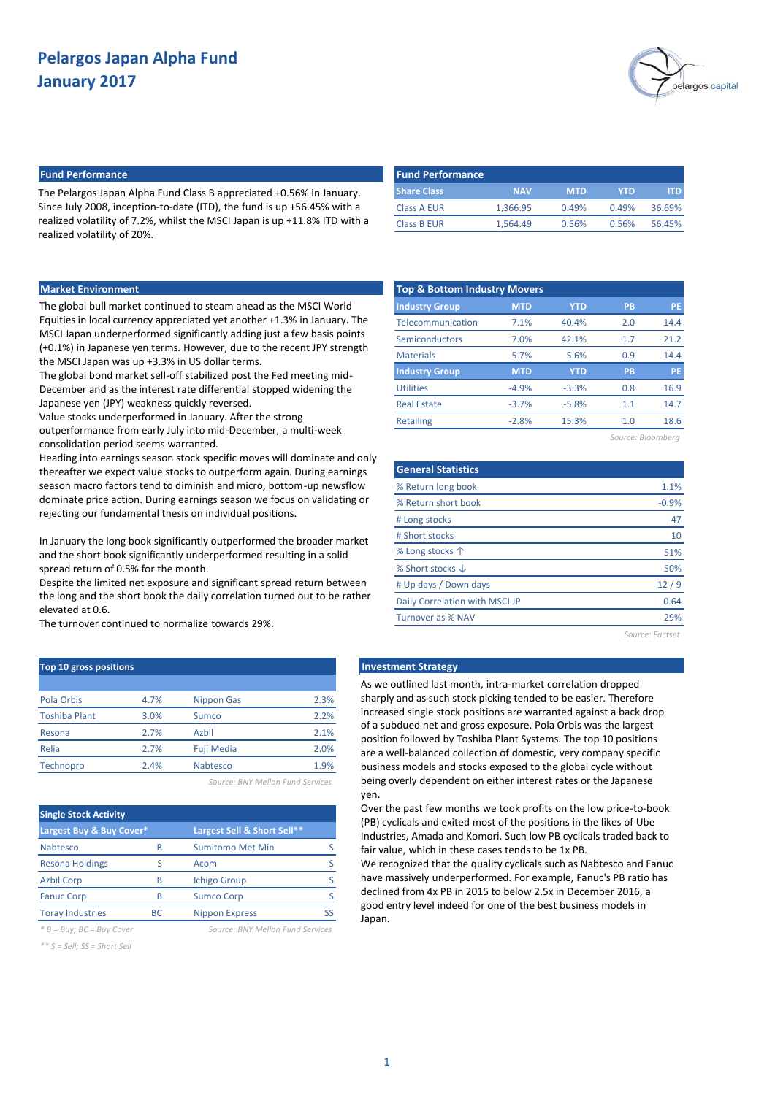

## **Fund Performance Fund Performance**

The Pelargos Japan Alpha Fund Class B appreciated +0.56% in January. Since July 2008, inception-to-date (ITD), the fund is up +56.45% with a realized volatility of 7.2%, whilst the MSCI Japan is up +11.8% ITD with a realized volatility of 20%.

| <b>Fund Performance</b> |            |            |       |        |
|-------------------------|------------|------------|-------|--------|
| <b>Share Class</b>      | <b>NAV</b> | <b>MTD</b> | YTD   | ITD.   |
| Class A EUR             | 1.366.95   | 0.49%      | 0.49% | 36.69% |
| <b>Class B EUR</b>      | 1.564.49   | 0.56%      | 0.56% | 56.45% |

### **Market Environment**

The global bull market continued to steam ahead as the MSCI World Equities in local currency appreciated yet another +1.3% in January. The MSCI Japan underperformed significantly adding just a few basis points (+0.1%) in Japanese yen terms. However, due to the recent JPY strength the MSCI Japan was up +3.3% in US dollar terms.

The global bond market sell-off stabilized post the Fed meeting mid-December and as the interest rate differential stopped widening the Japanese yen (JPY) weakness quickly reversed.

Value stocks underperformed in January. After the strong

outperformance from early July into mid-December, a multi-week consolidation period seems warranted.

Heading into earnings season stock specific moves will dominate and only thereafter we expect value stocks to outperform again. During earnings season macro factors tend to diminish and micro, bottom-up newsflow dominate price action. During earnings season we focus on validating or rejecting our fundamental thesis on individual positions.

In January the long book significantly outperformed the broader market and the short book significantly underperformed resulting in a solid spread return of 0.5% for the month.

Despite the limited net exposure and significant spread return between the long and the short book the daily correlation turned out to be rather elevated at 0.6.

The turnover continued to normalize towards 29%.

| <b>Top 10 gross positions</b> |      |                   |      |
|-------------------------------|------|-------------------|------|
|                               |      |                   |      |
| Pola Orbis                    | 4.7% | <b>Nippon Gas</b> | 2.3% |
| <b>Toshiba Plant</b>          | 3.0% | Sumco             | 2.2% |
| Resona                        | 2.7% | Azbil             | 2.1% |
| Relia                         | 2.7% | <b>Fuji Media</b> | 2.0% |
| Technopro                     | 2.4% | Nabtesco          | 1.9% |

*Source: BNY Mellon Fund Services*

| <b>Single Stock Activity</b> |     |                             |  |
|------------------------------|-----|-----------------------------|--|
| Largest Buy & Buy Cover*     |     | Largest Sell & Short Sell** |  |
| <b>Nabtesco</b>              | B   | <b>Sumitomo Met Min</b>     |  |
| <b>Resona Holdings</b>       | ς   | Acom                        |  |
| <b>Azbil Corp</b>            | B   | <b>Ichigo Group</b>         |  |
| <b>Fanuc Corp</b>            | B   | <b>Sumco Corp</b>           |  |
| <b>Toray Industries</b>      | BC. | <b>Nippon Express</b>       |  |
|                              |     |                             |  |

*\* B = Buy; BC = Buy Cover Source: BNY Mellon Fund Services*

*\*\* S = Sell; SS = Short Sell*

| <b>Top &amp; Bottom Industry Movers</b> |            |            |           |           |
|-----------------------------------------|------------|------------|-----------|-----------|
| <b>Industry Group</b>                   | <b>MTD</b> | <b>YTD</b> | <b>PB</b> | <b>PE</b> |
| Telecommunication                       | 7.1%       | 40.4%      | 2.0       | 14.4      |
| Semiconductors                          | 7.0%       | 42.1%      | 1.7       | 21.2      |
| <b>Materials</b>                        | 5.7%       | 5.6%       | 0.9       | 14.4      |
| <b>Industry Group</b>                   | <b>MTD</b> | <b>YTD</b> | PB        | <b>PE</b> |
| <b>Utilities</b>                        | $-4.9%$    | $-3.3%$    | 0.8       | 16.9      |
| <b>Real Estate</b>                      | $-3.7%$    | $-5.8%$    | 1.1       | 14.7      |
| <b>Retailing</b>                        | $-2.8%$    | 15.3%      | 1.0       | 18.6      |
|                                         |            |            |           |           |

*Source: Bloomberg*

| <b>General Statistics</b>      |                 |
|--------------------------------|-----------------|
| % Return long book             | 1.1%            |
| % Return short book            | $-0.9%$         |
| # Long stocks                  | 47              |
| # Short stocks                 | 10              |
| % Long stocks $\uparrow$       | 51%             |
| % Short stocks $\downarrow$    | 50%             |
| # Up days / Down days          | 12/9            |
| Daily Correlation with MSCI JP | 0.64            |
| Turnover as % NAV              | 29%             |
|                                | Source: Factset |

## **Investment Strategy**

As we outlined last month, intra-market correlation dropped sharply and as such stock picking tended to be easier. Therefore increased single stock positions are warranted against a back drop of a subdued net and gross exposure. Pola Orbis was the largest position followed by Toshiba Plant Systems. The top 10 positions are a well-balanced collection of domestic, very company specific business models and stocks exposed to the global cycle without being overly dependent on either interest rates or the Japanese yen.

Over the past few months we took profits on the low price-to-book (PB) cyclicals and exited most of the positions in the likes of Ube Industries, Amada and Komori. Such low PB cyclicals traded back to fair value, which in these cases tends to be 1x PB.

We recognized that the quality cyclicals such as Nabtesco and Fanuc have massively underperformed. For example, Fanuc's PB ratio has declined from 4x PB in 2015 to below 2.5x in December 2016, a good entry level indeed for one of the best business models in Japan.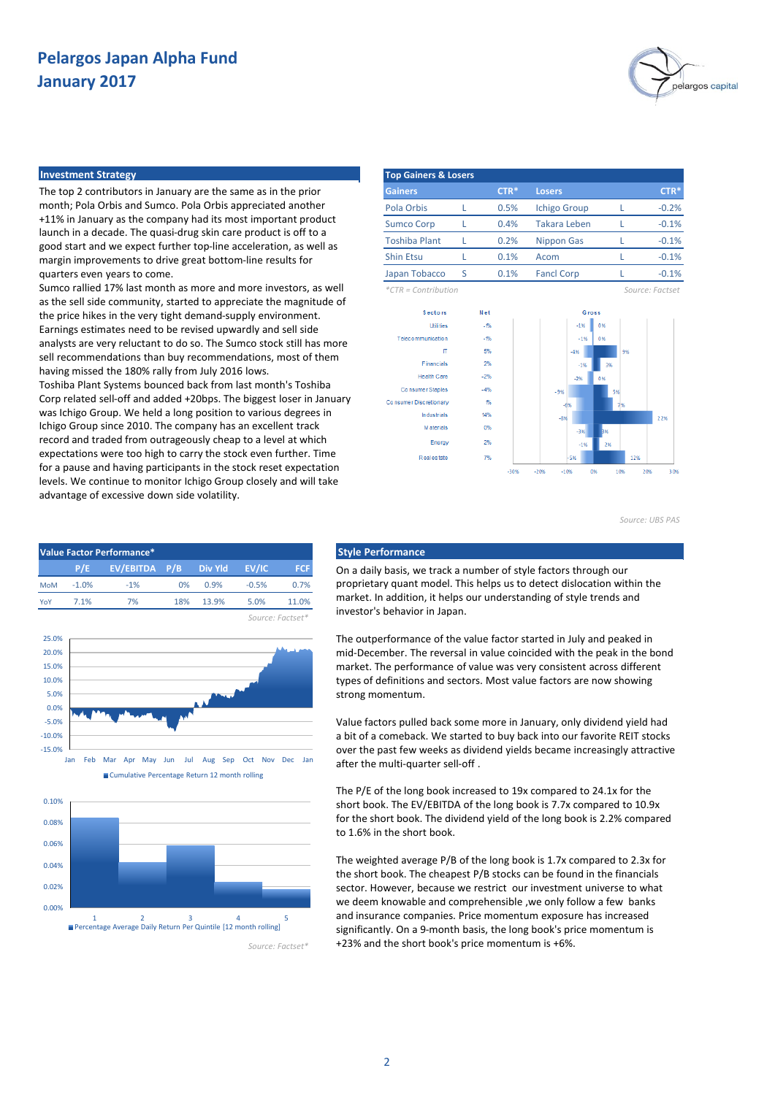

#### **Investment Strategy**

The top 2 contributors in January are the same as in the prior month; Pola Orbis and Sumco. Pola Orbis appreciated another +11% in January as the company had its most important product launch in a decade. The quasi-drug skin care product is off to a good start and we expect further top-line acceleration, as well as margin improvements to drive great bottom-line results for quarters even years to come.

Sumco rallied 17% last month as more and more investors, as well as the sell side community, started to appreciate the magnitude of the price hikes in the very tight demand-supply environment. Earnings estimates need to be revised upwardly and sell side analysts are very reluctant to do so. The Sumco stock still has more sell recommendations than buy recommendations, most of them having missed the 180% rally from July 2016 lows.

Toshiba Plant Systems bounced back from last month's Toshiba Corp related sell-off and added +20bps. The biggest loser in January was Ichigo Group. We held a long position to various degrees in Ichigo Group since 2010. The company has an excellent track record and traded from outrageously cheap to a level at which expectations were too high to carry the stock even further. Time for a pause and having participants in the stock reset expectation levels. We continue to monitor Ichigo Group closely and will take advantage of excessive down side volatility.







*Source: Factset\**

| <b>Top Gainers &amp; Losers</b> |   |        |                     |                 |
|---------------------------------|---|--------|---------------------|-----------------|
| <b>Gainers</b>                  |   | $CTR*$ | <b>Losers</b>       | $CTR*$          |
| Pola Orbis                      |   | 0.5%   | <b>Ichigo Group</b> | $-0.2%$         |
| <b>Sumco Corp</b>               |   | 0.4%   | <b>Takara Leben</b> | $-0.1%$         |
| <b>Toshiba Plant</b>            |   | 0.2%   | Nippon Gas          | $-0.1%$         |
| <b>Shin Etsu</b>                |   | 0.1%   | Acom                | $-0.1%$         |
| Japan Tobacco                   | S | 0.1%   | <b>Fancl Corp</b>   | $-0.1%$         |
| $*CTR = Contribution$           |   |        |                     | Source: Factset |



*Source: UBS PAS*

On a daily basis, we track a number of style factors through our proprietary quant model. This helps us to detect dislocation within the market. In addition, it helps our understanding of style trends and investor's behavior in Japan.

The outperformance of the value factor started in July and peaked in mid-December. The reversal in value coincided with the peak in the bond market. The performance of value was very consistent across different types of definitions and sectors. Most value factors are now showing strong momentum.

Value factors pulled back some more in January, only dividend yield had a bit of a comeback. We started to buy back into our favorite REIT stocks over the past few weeks as dividend yields became increasingly attractive after the multi-quarter sell-off .

The P/E of the long book increased to 19x compared to 24.1x for the short book. The EV/EBITDA of the long book is 7.7x compared to 10.9x for the short book. The dividend yield of the long book is 2.2% compared to 1.6% in the short book.

The weighted average P/B of the long book is 1.7x compared to 2.3x for the short book. The cheapest P/B stocks can be found in the financials sector. However, because we restrict our investment universe to what we deem knowable and comprehensible ,we only follow a few banks and insurance companies. Price momentum exposure has increased significantly. On a 9-month basis, the long book's price momentum is +23% and the short book's price momentum is +6%.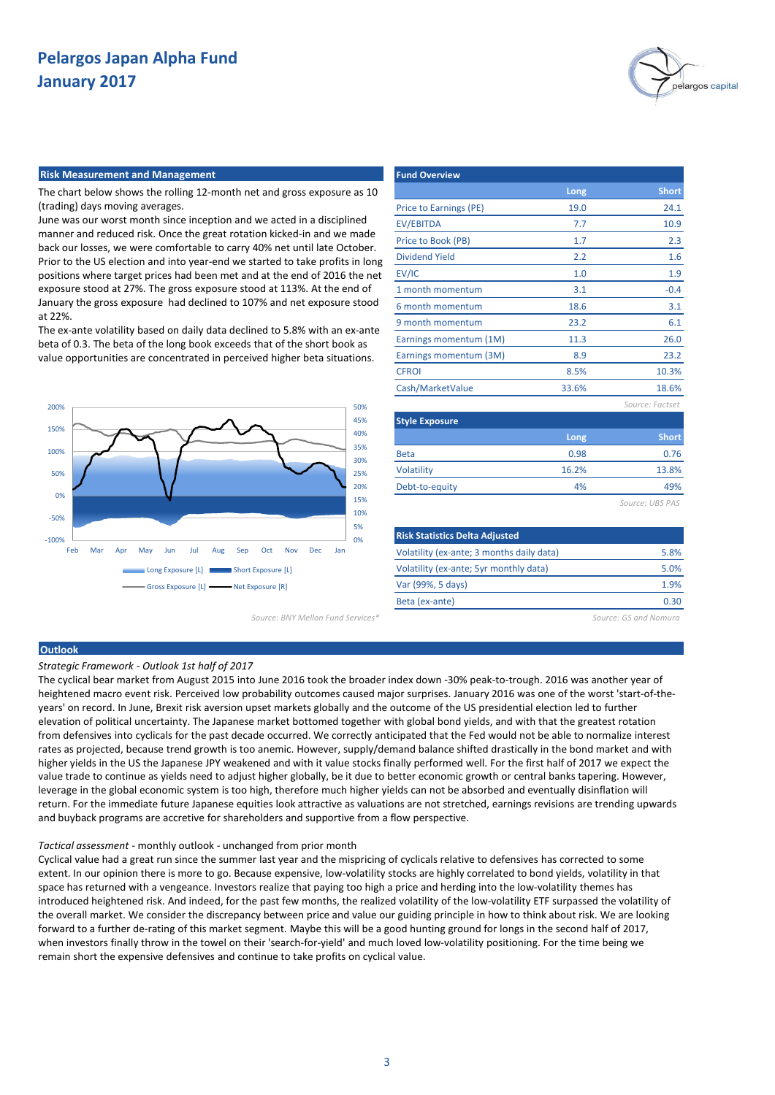

#### **Risk Measurement and Management**

The chart below shows the rolling 12-month net and gross exposure as 10 (trading) days moving averages.

June was our worst month since inception and we acted in a disciplined manner and reduced risk. Once the great rotation kicked-in and we made back our losses, we were comfortable to carry 40% net until late October. Prior to the US election and into year-end we started to take profits in long positions where target prices had been met and at the end of 2016 the net exposure stood at 27%. The gross exposure stood at 113%. At the end of January the gross exposure had declined to 107% and net exposure stood at 22%.

The ex-ante volatility based on daily data declined to 5.8% with an ex-ante beta of 0.3. The beta of the long book exceeds that of the short book as value opportunities are concentrated in perceived higher beta situations.



*Source: BNY Mellon Fund Services\* Source: GS and Nomura*

| <b>Fund Overview</b>   |       |                 |
|------------------------|-------|-----------------|
|                        | Long  | <b>Short</b>    |
| Price to Earnings (PE) | 19.0  | 24.1            |
| <b>EV/EBITDA</b>       | 7.7   | 10.9            |
| Price to Book (PB)     | 1.7   | 2.3             |
| <b>Dividend Yield</b>  | 2.2   | 1.6             |
| EV/IC                  | 1.0   | 1.9             |
| 1 month momentum       | 3.1   | $-0.4$          |
| 6 month momentum       | 18.6  | 3.1             |
| 9 month momentum       | 23.2  | 6.1             |
| Earnings momentum (1M) | 11.3  | 26.0            |
| Earnings momentum (3M) | 8.9   | 23.2            |
| <b>CFROI</b>           | 8.5%  | 10.3%           |
| Cash/MarketValue       | 33.6% | 18.6%           |
|                        |       | Source: Factset |
| <b>Style Exposure</b>  |       |                 |
|                        | Long  | Short           |
| <b>Beta</b>            | 0.98  | 0.76            |
| Volatility             | 16.2% | 13.8%           |
| Debt-to-equity         | 4%    | 49%             |
|                        |       | Source: UBS PAS |
|                        |       |                 |

| <b>Risk Statistics Delta Adjusted</b>     |      |
|-------------------------------------------|------|
| Volatility (ex-ante; 3 months daily data) | 5.8% |
| Volatility (ex-ante; 5yr monthly data)    | 5.0% |
| Var (99%, 5 days)                         | 1.9% |
| Beta (ex-ante)                            | 0.30 |
|                                           |      |

## **Outlook**

*Strategic Framework - Outlook 1st half of 2017*

The cyclical bear market from August 2015 into June 2016 took the broader index down -30% peak-to-trough. 2016 was another year of heightened macro event risk. Perceived low probability outcomes caused major surprises. January 2016 was one of the worst 'start-of-theyears' on record. In June, Brexit risk aversion upset markets globally and the outcome of the US presidential election led to further elevation of political uncertainty. The Japanese market bottomed together with global bond yields, and with that the greatest rotation from defensives into cyclicals for the past decade occurred. We correctly anticipated that the Fed would not be able to normalize interest rates as projected, because trend growth is too anemic. However, supply/demand balance shifted drastically in the bond market and with higher yields in the US the Japanese JPY weakened and with it value stocks finally performed well. For the first half of 2017 we expect the value trade to continue as yields need to adjust higher globally, be it due to better economic growth or central banks tapering. However, leverage in the global economic system is too high, therefore much higher yields can not be absorbed and eventually disinflation will return. For the immediate future Japanese equities look attractive as valuations are not stretched, earnings revisions are trending upwards and buyback programs are accretive for shareholders and supportive from a flow perspective.

#### *Tactical assessment* - monthly outlook - unchanged from prior month

Cyclical value had a great run since the summer last year and the mispricing of cyclicals relative to defensives has corrected to some extent. In our opinion there is more to go. Because expensive, low-volatility stocks are highly correlated to bond yields, volatility in that space has returned with a vengeance. Investors realize that paying too high a price and herding into the low-volatility themes has introduced heightened risk. And indeed, for the past few months, the realized volatility of the low-volatility ETF surpassed the volatility of the overall market. We consider the discrepancy between price and value our guiding principle in how to think about risk. We are looking forward to a further de-rating of this market segment. Maybe this will be a good hunting ground for longs in the second half of 2017, when investors finally throw in the towel on their 'search-for-yield' and much loved low-volatility positioning. For the time being we remain short the expensive defensives and continue to take profits on cyclical value.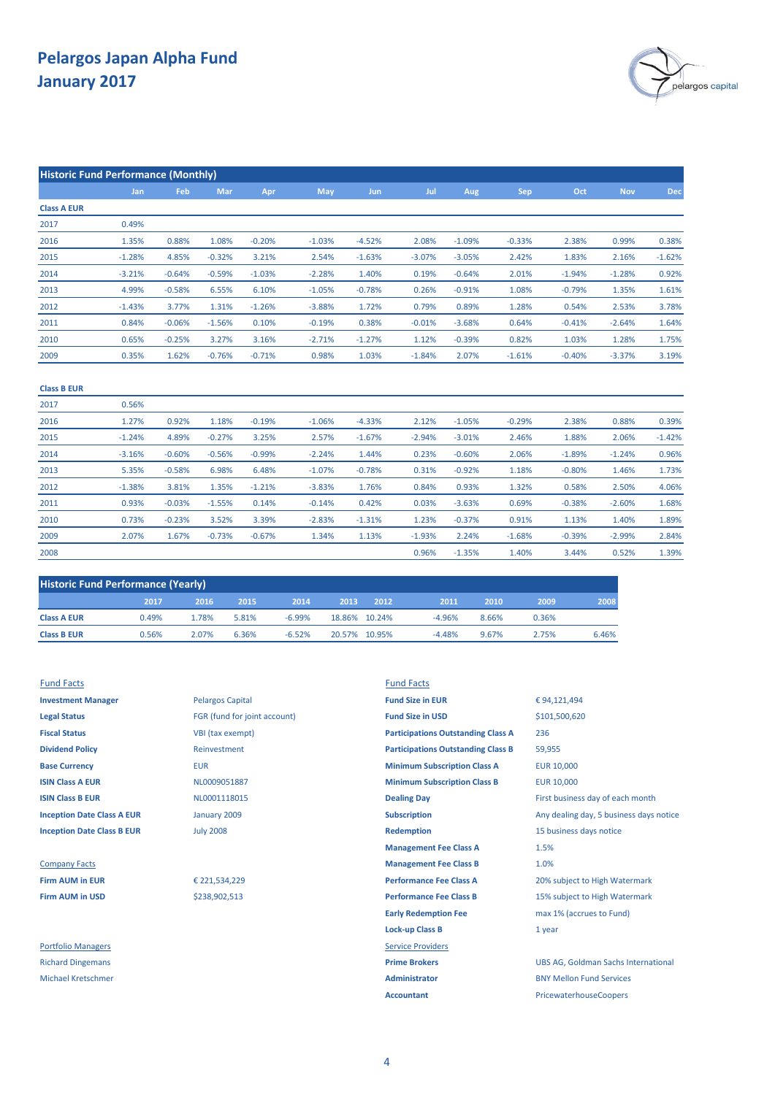**Historic Fund Performance (Monthly)**



|                    | Jan      | Feb      | Mar      | Apr      | May      | Jun      | Jul      | Aug      | Sep      | Oct      | <b>Nov</b> | <b>Dec</b> |
|--------------------|----------|----------|----------|----------|----------|----------|----------|----------|----------|----------|------------|------------|
| <b>Class A EUR</b> |          |          |          |          |          |          |          |          |          |          |            |            |
| 2017               | 0.49%    |          |          |          |          |          |          |          |          |          |            |            |
| 2016               | 1.35%    | 0.88%    | 1.08%    | $-0.20%$ | $-1.03%$ | $-4.52%$ | 2.08%    | $-1.09%$ | $-0.33%$ | 2.38%    | 0.99%      | 0.38%      |
| 2015               | $-1.28%$ | 4.85%    | $-0.32%$ | 3.21%    | 2.54%    | $-1.63%$ | $-3.07%$ | $-3.05%$ | 2.42%    | 1.83%    | 2.16%      | $-1.62%$   |
| 2014               | $-3.21%$ | $-0.64%$ | $-0.59%$ | $-1.03%$ | $-2.28%$ | 1.40%    | 0.19%    | $-0.64%$ | 2.01%    | $-1.94%$ | $-1.28%$   | 0.92%      |
| 2013               | 4.99%    | $-0.58%$ | 6.55%    | 6.10%    | $-1.05%$ | $-0.78%$ | 0.26%    | $-0.91%$ | 1.08%    | $-0.79%$ | 1.35%      | 1.61%      |
| 2012               | $-1.43%$ | 3.77%    | 1.31%    | $-1.26%$ | $-3.88%$ | 1.72%    | 0.79%    | 0.89%    | 1.28%    | 0.54%    | 2.53%      | 3.78%      |
| 2011               | 0.84%    | $-0.06%$ | $-1.56%$ | 0.10%    | $-0.19%$ | 0.38%    | $-0.01%$ | $-3.68%$ | 0.64%    | $-0.41%$ | $-2.64%$   | 1.64%      |
| 2010               | 0.65%    | $-0.25%$ | 3.27%    | 3.16%    | $-2.71%$ | $-1.27%$ | 1.12%    | $-0.39%$ | 0.82%    | 1.03%    | 1.28%      | 1.75%      |
| 2009               | 0.35%    | 1.62%    | $-0.76%$ | $-0.71%$ | 0.98%    | 1.03%    | $-1.84%$ | 2.07%    | $-1.61%$ | $-0.40%$ | $-3.37%$   | 3.19%      |
| <b>Class B EUR</b> |          |          |          |          |          |          |          |          |          |          |            |            |
| 2017               | 0.56%    |          |          |          |          |          |          |          |          |          |            |            |
| 2016               | 1.27%    | 0.92%    | 1.18%    | $-0.19%$ | $-1.06%$ | $-4.33%$ | 2.12%    | $-1.05%$ | $-0.29%$ | 2.38%    | 0.88%      | 0.39%      |
| 2015               | $-1.24%$ | 4.89%    | $-0.27%$ | 3.25%    | 2.57%    | $-1.67%$ | $-2.94%$ | $-3.01%$ | 2.46%    | 1.88%    | 2.06%      | $-1.42%$   |
| 2014               | $-3.16%$ | $-0.60%$ | $-0.56%$ | $-0.99%$ | $-2.24%$ | 1.44%    | 0.23%    | $-0.60%$ | 2.06%    | $-1.89%$ | $-1.24%$   | 0.96%      |
| 2013               | 5.35%    | $-0.58%$ | 6.98%    | 6.48%    | $-1.07%$ | $-0.78%$ | 0.31%    | $-0.92%$ | 1.18%    | $-0.80%$ | 1.46%      | 1.73%      |
| 2012               | $-1.38%$ | 3.81%    | 1.35%    | $-1.21%$ | $-3.83%$ | 1.76%    | 0.84%    | 0.93%    | 1.32%    | 0.58%    | 2.50%      | 4.06%      |
| 2011               | 0.93%    | $-0.03%$ | $-1.55%$ | 0.14%    | $-0.14%$ | 0.42%    | 0.03%    | $-3.63%$ | 0.69%    | $-0.38%$ | $-2.60%$   | 1.68%      |
| 2010               | 0.73%    | $-0.23%$ | 3.52%    | 3.39%    | $-2.83%$ | $-1.31%$ | 1.23%    | $-0.37%$ | 0.91%    | 1.13%    | 1.40%      | 1.89%      |
| 2009               | 2.07%    | 1.67%    | $-0.73%$ | $-0.67%$ | 1.34%    | 1.13%    | $-1.93%$ | 2.24%    | $-1.68%$ | $-0.39%$ | $-2.99%$   | 2.84%      |

| <b>Historic Fund Performance (Yearly)</b> |       |       |       |          |               |      |          |       |       |       |
|-------------------------------------------|-------|-------|-------|----------|---------------|------|----------|-------|-------|-------|
|                                           | 2017  | 2016  | 2015  | 2014     | 2013          | 2012 | 2011     | 2010  | 2009  | 2008  |
| <b>Class A EUR</b>                        | 0.49% | 1.78% | 5.81% | $-6.99%$ | 18.86% 10.24% |      | $-4.96%$ | 8.66% | 0.36% |       |
| <b>Class B EUR</b>                        | 0.56% | 2.07% | 6.36% | $-6.52%$ | 20.57% 10.95% |      | $-4.48%$ | 9.67% | 2 75% | 6.46% |

## Fund Facts Fund Facts

2008

| <b>Investment Manager</b>         |
|-----------------------------------|
| <b>Legal Status</b>               |
| <b>Fiscal Status</b>              |
| <b>Dividend Policy</b>            |
| <b>Base Currency</b>              |
| <b>ISIN Class A EUR</b>           |
| <b>ISIN Class B EUR</b>           |
| <b>Inception Date Class A EUR</b> |
| <b>Inception Date Class B EUR</b> |

**Investment Manager Investment Manager Pelargos Capital <b>Fund Size in EUR Legal Status** FGR (fund for joint account) **Fund Size in USD VBI** (tax exempt) **Dividend Policy** Reinvestment January 2009 July 2008

\$238,902,513

€ 221,534,229

**Base Currency <b>EUR** EUR **EUR EUR EUR EUR EUR EUR EUR EUR EUR EUR EUR EUR EUR EUR EUR EUR EUR EUR EUR EUR EUR EUR EUR EUR EUR EUR EUR EUR EUR EUR EUR EUR EUR ISIN Class A EUR EUR ISIN CLASS A EUR** 10,000 **MINIMUM Subscription Class B EUR** 10,000 **ISIN COLLECT B EUROL DEALING B EVALUATE DRAM** EVALUATE FIRST Business day of each month **Inception Subscription** Any dealing day, 5 business days notice **Redemption** 15 business days notice **Management Fee Class A Company Facts Management Fee Class B Firm AUM in EUR EUR** € 221,534,229 **Performance Fee Class A** 20% subject to High Watermark **Firm AUM in USD Performance Fee Class B** 15% subject to High Watermark **See Strategies Performance Fee Class B** 15% subject to High Watermark **Early Redemption Fee** max 1% (accrues to Fund) **Lock-up Class B** 1 year Portfolio Managers **Service Providers** Richard Dingemans **Prime Brokers** UBS AG, Goldman Sachs International Michael Kretschmer **Administrator** BNY Mellon Fund Services 1.5% 1.0% **Participations Outstanding Class B** 236 **Participations Outstanding Class A**

€ 94,121,494 59,955 \$101,500,620

0.52%

0.96% -1.35% 1.39%

1.40%

3.44%

**Accountant** PricewaterhouseCoopers